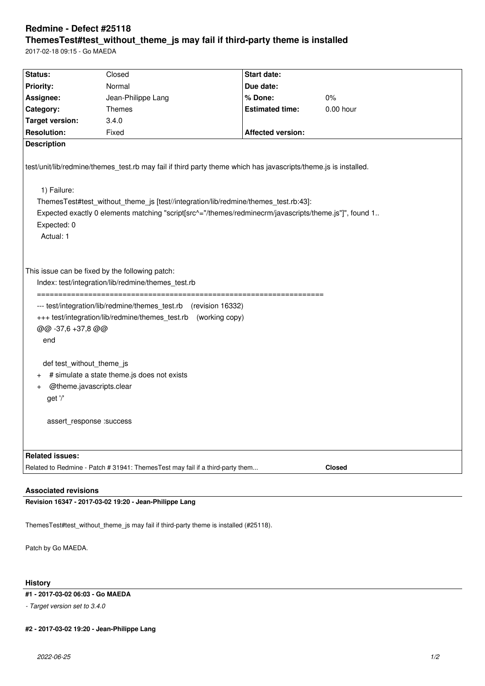# **Redmine - Defect #25118 ThemesTest#test\_without\_theme\_js may fail if third-party theme is installed**

2017-02-18 09:15 - Go MAEDA

| Status:                                                                                                                                                                                                                                                                                                                                                                                                    | Closed                                                                        | Start date:              |               |
|------------------------------------------------------------------------------------------------------------------------------------------------------------------------------------------------------------------------------------------------------------------------------------------------------------------------------------------------------------------------------------------------------------|-------------------------------------------------------------------------------|--------------------------|---------------|
| <b>Priority:</b>                                                                                                                                                                                                                                                                                                                                                                                           | Normal                                                                        | Due date:                |               |
| Assignee:                                                                                                                                                                                                                                                                                                                                                                                                  | Jean-Philippe Lang                                                            | % Done:                  | 0%            |
| Category:                                                                                                                                                                                                                                                                                                                                                                                                  | Themes                                                                        | <b>Estimated time:</b>   | 0.00 hour     |
| <b>Target version:</b>                                                                                                                                                                                                                                                                                                                                                                                     | 3.4.0                                                                         |                          |               |
| <b>Resolution:</b>                                                                                                                                                                                                                                                                                                                                                                                         | Fixed                                                                         | <b>Affected version:</b> |               |
| <b>Description</b>                                                                                                                                                                                                                                                                                                                                                                                         |                                                                               |                          |               |
| test/unit/lib/redmine/themes_test.rb may fail if third party theme which has javascripts/theme.js is installed.                                                                                                                                                                                                                                                                                            |                                                                               |                          |               |
| 1) Failure:                                                                                                                                                                                                                                                                                                                                                                                                |                                                                               |                          |               |
| ThemesTest#test_without_theme_js [test//integration/lib/redmine/themes_test.rb:43]:                                                                                                                                                                                                                                                                                                                        |                                                                               |                          |               |
| Expected exactly 0 elements matching "script[src^="/themes/redminecrm/javascripts/theme.js"]", found 1                                                                                                                                                                                                                                                                                                     |                                                                               |                          |               |
| Expected: 0                                                                                                                                                                                                                                                                                                                                                                                                |                                                                               |                          |               |
| Actual: 1                                                                                                                                                                                                                                                                                                                                                                                                  |                                                                               |                          |               |
|                                                                                                                                                                                                                                                                                                                                                                                                            |                                                                               |                          |               |
| This issue can be fixed by the following patch:<br>Index: test/integration/lib/redmine/themes_test.rb<br>--- test/integration/lib/redmine/themes_test.rb (revision 16332)<br>+++ test/integration/lib/redmine/themes_test.rb<br>(working copy)<br>@@ -37,6 +37,8 @@<br>end<br>def test_without_theme_js<br># simulate a state theme.js does not exists<br>@theme.javascripts.clear<br>$\ddot{}$<br>get '/' |                                                                               |                          |               |
| assert response : success                                                                                                                                                                                                                                                                                                                                                                                  |                                                                               |                          |               |
|                                                                                                                                                                                                                                                                                                                                                                                                            |                                                                               |                          |               |
| <b>Related issues:</b>                                                                                                                                                                                                                                                                                                                                                                                     |                                                                               |                          |               |
|                                                                                                                                                                                                                                                                                                                                                                                                            | Related to Redmine - Patch # 31941: ThemesTest may fail if a third-party them |                          | <b>Closed</b> |
|                                                                                                                                                                                                                                                                                                                                                                                                            |                                                                               |                          |               |
| <b>Associated revisions</b>                                                                                                                                                                                                                                                                                                                                                                                |                                                                               |                          |               |
| Revision 16347 - 2017-03-02 19:20 - Jean-Philippe Lang                                                                                                                                                                                                                                                                                                                                                     |                                                                               |                          |               |
|                                                                                                                                                                                                                                                                                                                                                                                                            |                                                                               |                          |               |

ThemesTest#test\_without\_theme\_js may fail if third-party theme is installed (#25118).

Patch by Go MAEDA.

## **History**

## **#1 - 2017-03-02 06:03 - Go MAEDA**

*- Target version set to 3.4.0*

### **#2 - 2017-03-02 19:20 - Jean-Philippe Lang**